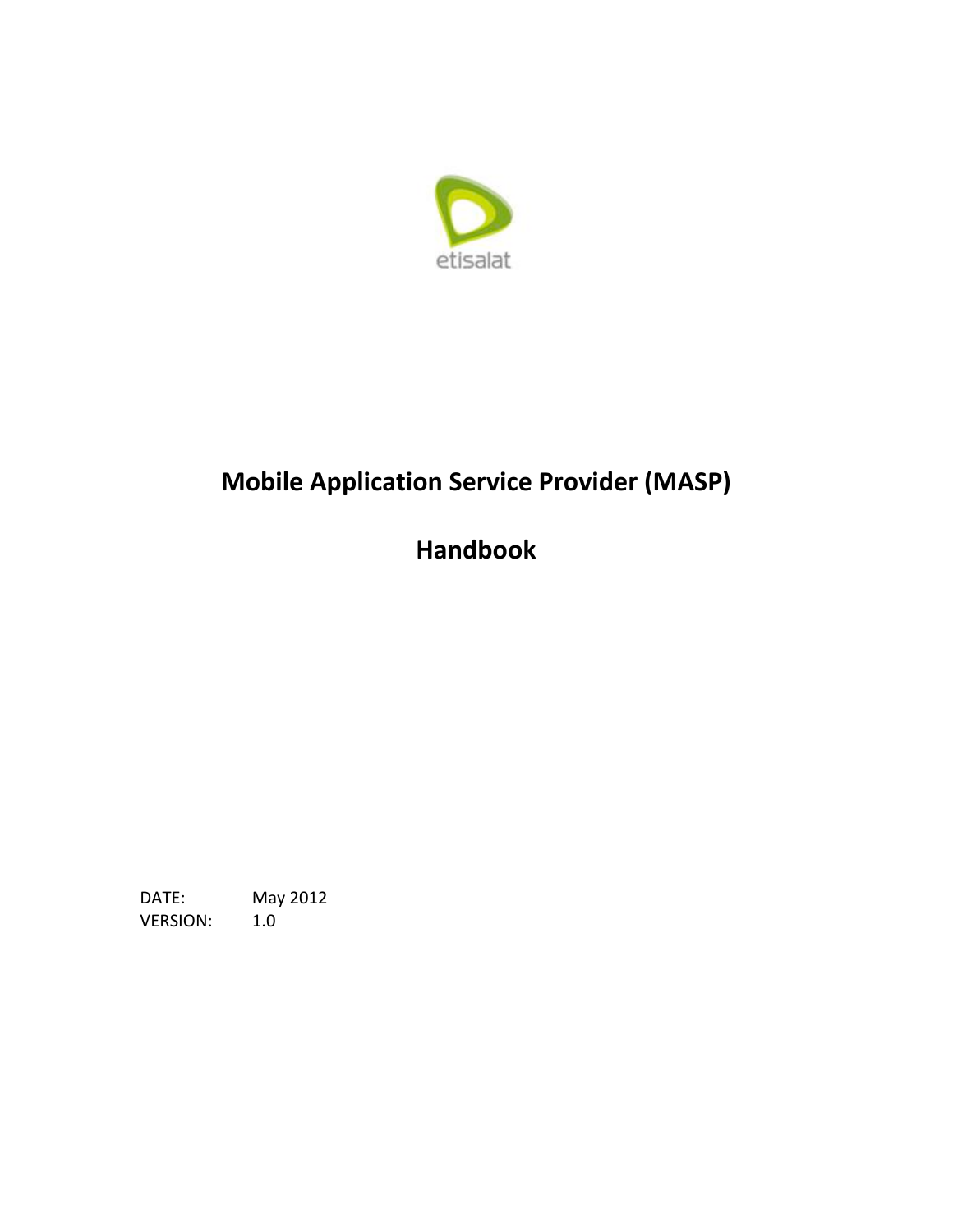

# **Mobile Application Service Provider (MASP)**

# **Handbook**

May 2012 DATE: **VERSION:**  $1.0$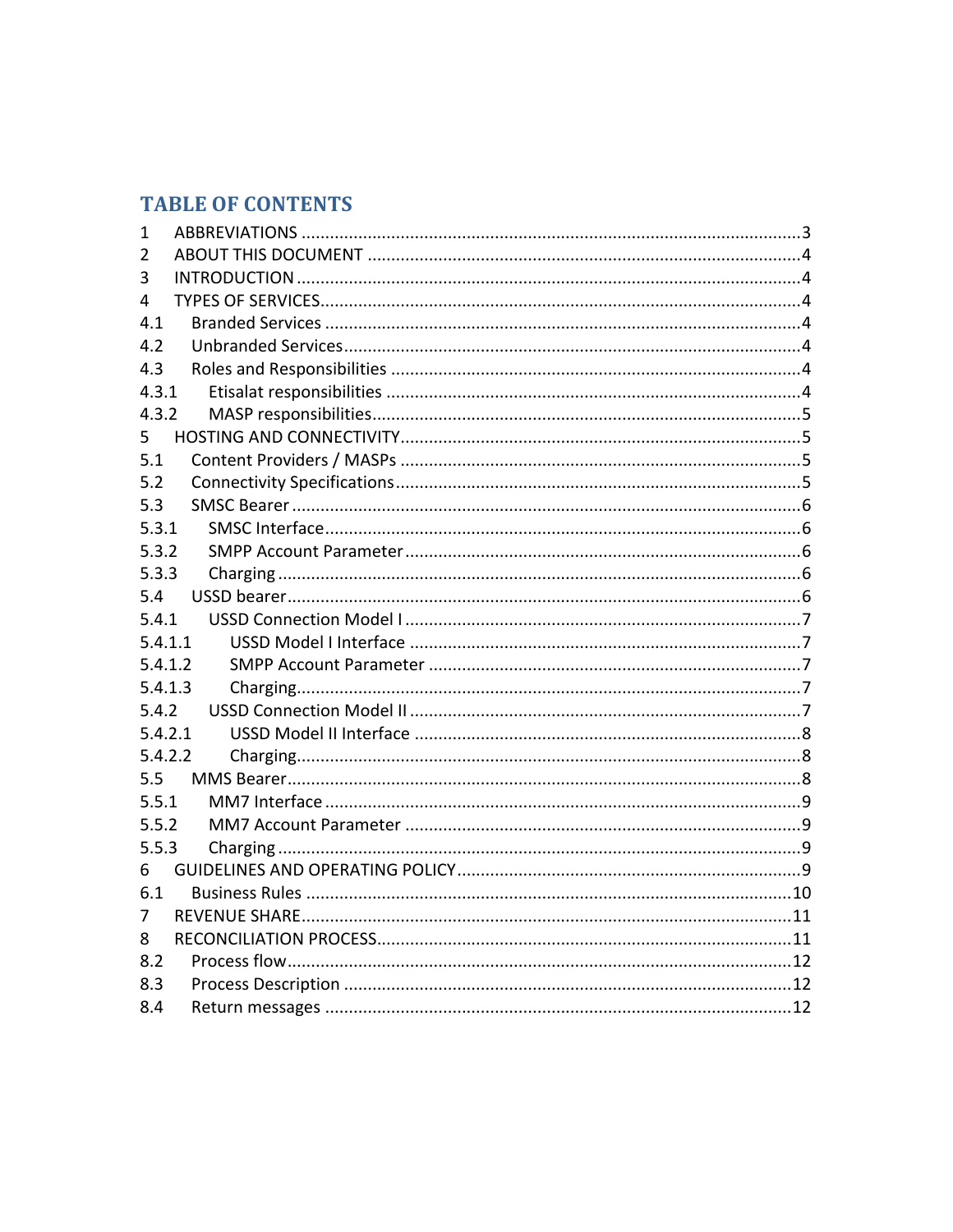# **TABLE OF CONTENTS**

| 1       |  |
|---------|--|
| 2       |  |
| 3       |  |
| 4       |  |
| 4.1     |  |
| 4.2     |  |
| 4.3     |  |
| 4.3.1   |  |
| 4.3.2   |  |
| 5       |  |
| 5.1     |  |
| 5.2     |  |
| 5.3     |  |
| 5.3.1   |  |
| 5.3.2   |  |
| 5.3.3   |  |
| 5.4     |  |
| 5.4.1   |  |
| 5.4.1.1 |  |
| 5.4.1.2 |  |
| 5.4.1.3 |  |
| 5.4.2   |  |
| 5.4.2.1 |  |
| 5.4.2.2 |  |
| 5.5     |  |
| 5.5.1   |  |
| 5.5.2   |  |
| 5.5.3   |  |
| 6       |  |
| 6.1     |  |
| 7       |  |
| 8       |  |
| 8.2     |  |
| 8.3     |  |
| 8.4     |  |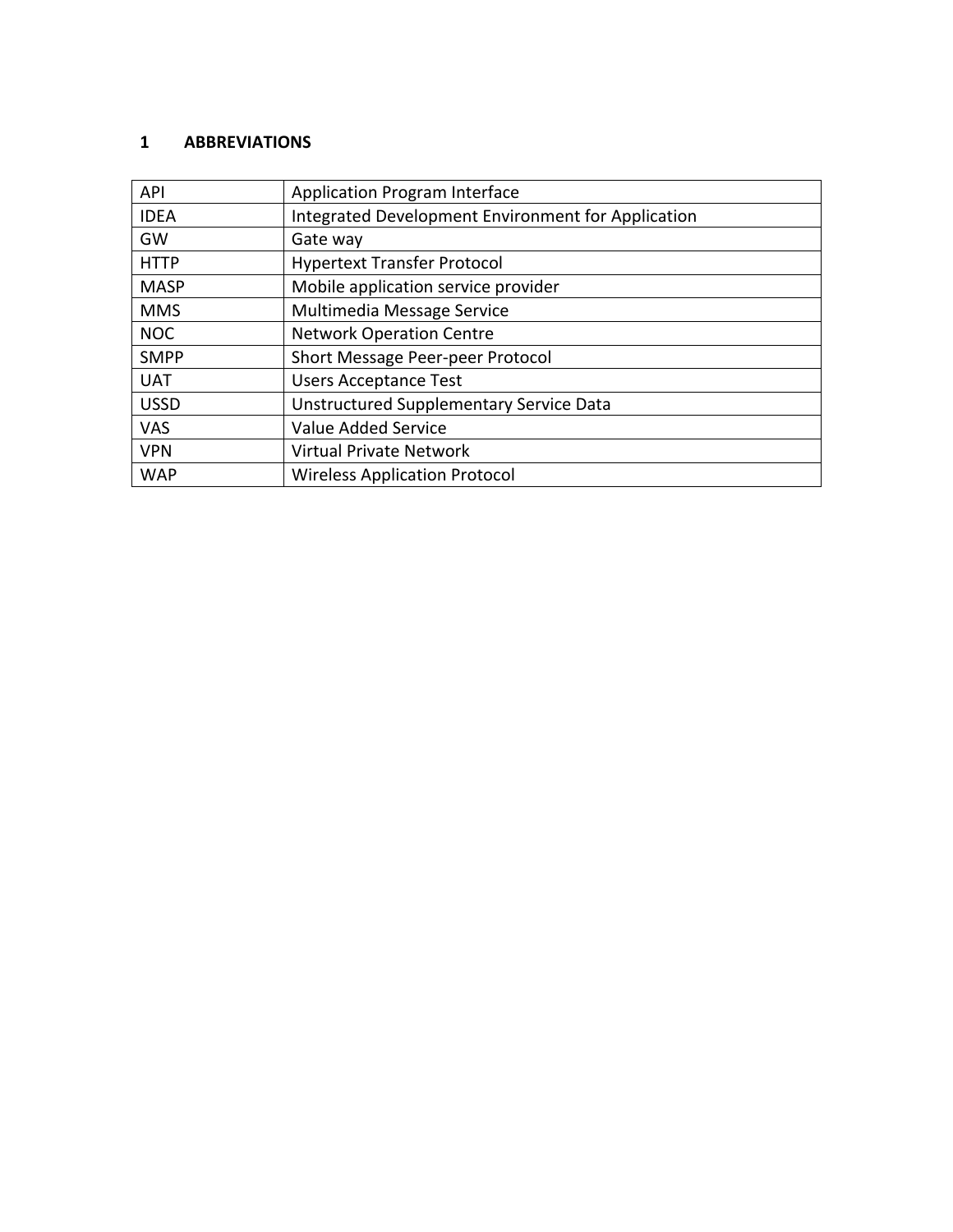#### **1 ABBREVIATIONS**

| <b>API</b>  | <b>Application Program Interface</b>               |
|-------------|----------------------------------------------------|
| <b>IDEA</b> | Integrated Development Environment for Application |
| GW          | Gate way                                           |
| <b>HTTP</b> | <b>Hypertext Transfer Protocol</b>                 |
| <b>MASP</b> | Mobile application service provider                |
| <b>MMS</b>  | Multimedia Message Service                         |
| <b>NOC</b>  | <b>Network Operation Centre</b>                    |
| <b>SMPP</b> | Short Message Peer-peer Protocol                   |
| <b>UAT</b>  | <b>Users Acceptance Test</b>                       |
| <b>USSD</b> | Unstructured Supplementary Service Data            |
| <b>VAS</b>  | Value Added Service                                |
| <b>VPN</b>  | <b>Virtual Private Network</b>                     |
| <b>WAP</b>  | <b>Wireless Application Protocol</b>               |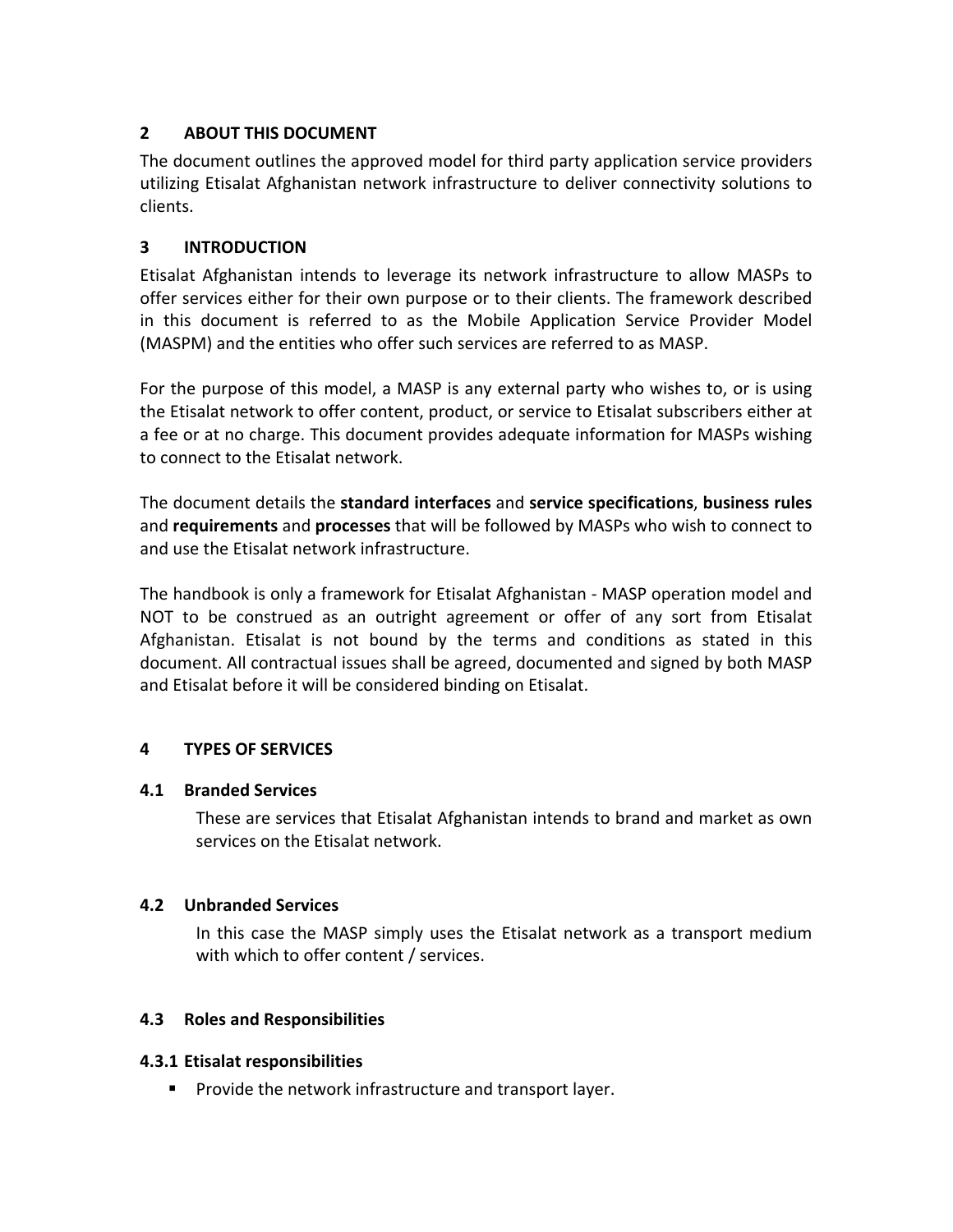# **2 ABOUT THIS DOCUMENT**

The document outlines the approved model for third party application service providers utilizing Etisalat Afghanistan network infrastructure to deliver connectivity solutions to clients.

#### **3 INTRODUCTION**

Etisalat Afghanistan intends to leverage its network infrastructure to allow MASPs to offer services either for their own purpose or to their clients. The framework described in this document is referred to as the Mobile Application Service Provider Model (MASPM) and the entities who offer such services are referred to as MASP.

For the purpose of this model, a MASP is any external party who wishes to, or is using the Etisalat network to offer content, product, or service to Etisalat subscribers either at a fee or at no charge. This document provides adequate information for MASPs wishing to connect to the Etisalat network.

The document details the **standard interfaces** and **service specifications**, **business rules** and **requirements** and **processes** that will be followed by MASPs who wish to connect to and use the Etisalat network infrastructure.

The handbook is only a framework for Etisalat Afghanistan - MASP operation model and NOT to be construed as an outright agreement or offer of any sort from Etisalat Afghanistan. Etisalat is not bound by the terms and conditions as stated in this document. All contractual issues shall be agreed, documented and signed by both MASP and Etisalat before it will be considered binding on Etisalat.

# **4 TYPES OF SERVICES**

#### **4.1 Branded Services**

These are services that Etisalat Afghanistan intends to brand and market as own services on the Etisalat network.

#### **4.2 Unbranded Services**

In this case the MASP simply uses the Etisalat network as a transport medium with which to offer content / services.

#### **4.3 Roles and Responsibilities**

#### **4.3.1 Etisalat responsibilities**

 $\blacksquare$  Provide the network infrastructure and transport layer.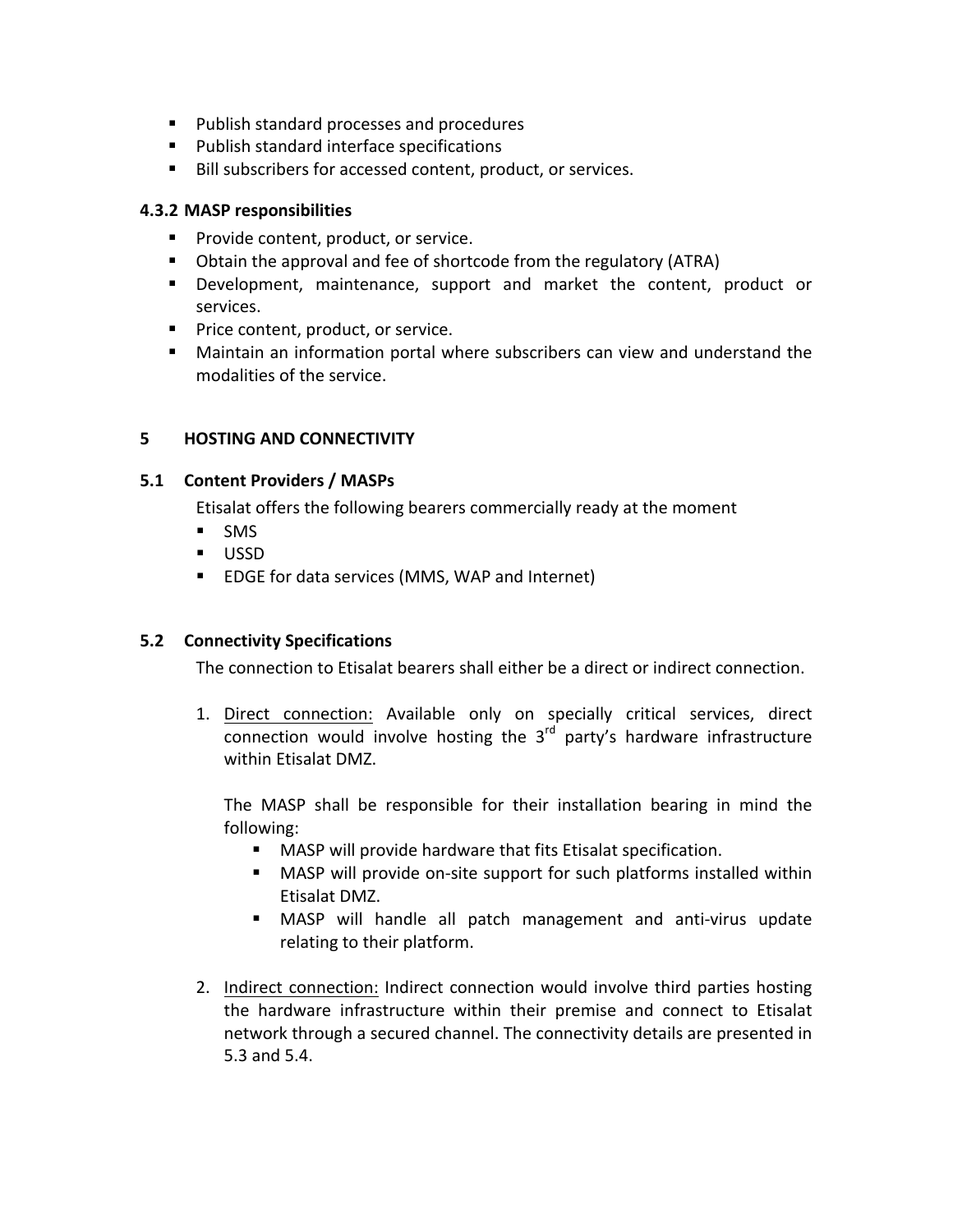- Publish standard processes and procedures
- **Publish standard interface specifications**
- Bill subscribers for accessed content, product, or services.

#### **4.3.2 MASP responsibilities**

- **Provide content, product, or service.**
- Obtain the approval and fee of shortcode from the regulatory (ATRA)
- **Development, maintenance, support and market the content, product or** services.
- **Price content, product, or service.**
- **E** Maintain an information portal where subscribers can view and understand the modalities of the service.

# **5 HOSTING AND CONNECTIVITY**

#### **5.1 Content Providers / MASPs**

Etisalat offers the following bearers commercially ready at the moment

- **SMS**
- USSD
- EDGE for data services (MMS, WAP and Internet)

# **5.2 Connectivity Specifications**

The connection to Etisalat bearers shall either be a direct or indirect connection.

1. Direct connection: Available only on specially critical services, direct connection would involve hosting the  $3<sup>rd</sup>$  party's hardware infrastructure within Ftisalat DMZ.

The MASP shall be responsible for their installation bearing in mind the following:

- MASP will provide hardware that fits Etisalat specification.
- MASP will provide on-site support for such platforms installed within Etisalat DMZ.
- MASP will handle all patch management and anti-virus update relating to their platform.
- 2. Indirect connection: Indirect connection would involve third parties hosting the hardware infrastructure within their premise and connect to Etisalat network through a secured channel. The connectivity details are presented in 5.3 and 5.4.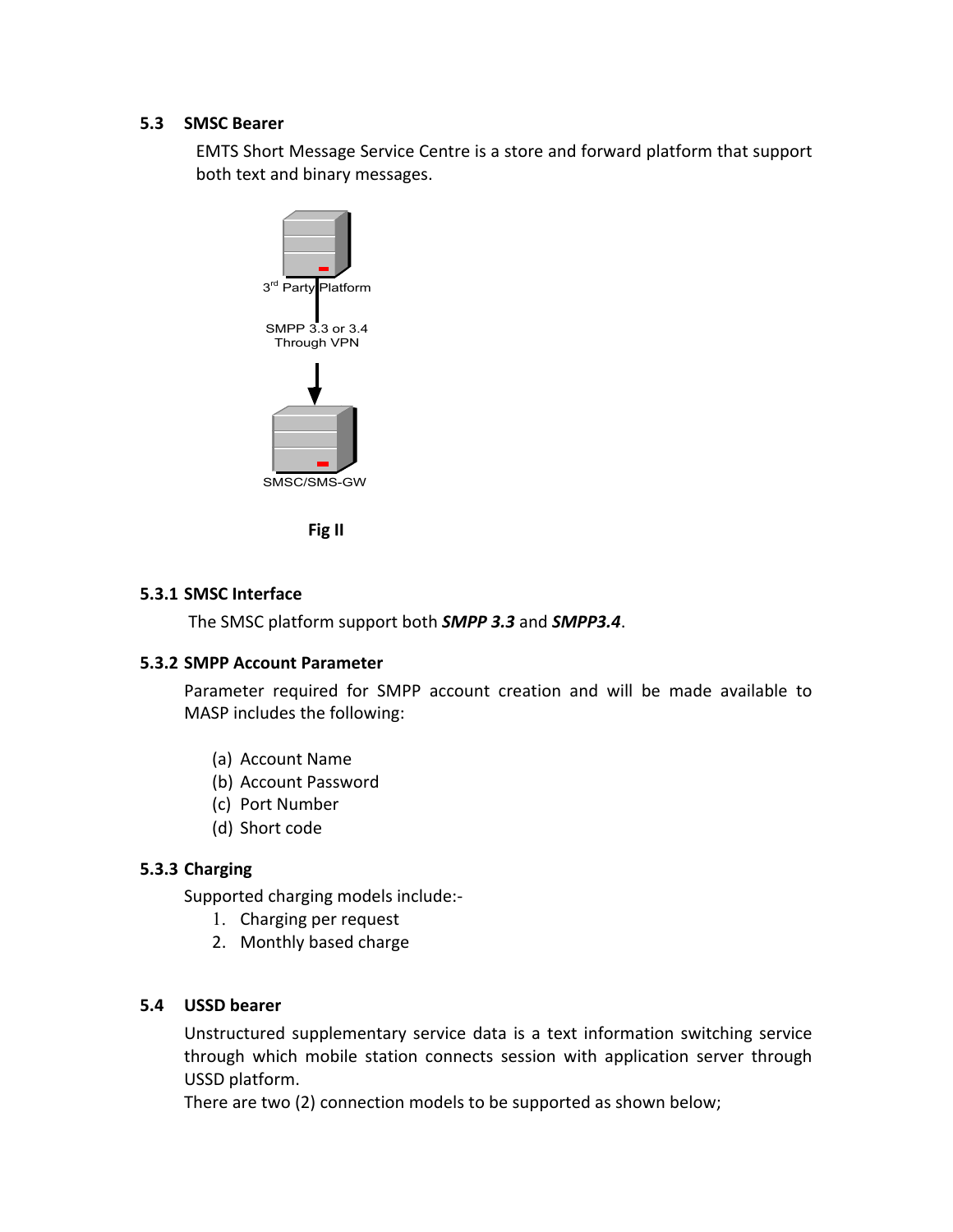#### **5.3 SMSC Bearer**

EMTS Short Message Service Centre is a store and forward platform that support both text and binary messages.





#### **5.3.1 SMSC Interface**

The SMSC platform support both **SMPP 3.3** and **SMPP3.4**.

#### **5.3.2 SMPP Account Parameter**

Parameter required for SMPP account creation and will be made available to MASP includes the following:

- (a) Account Name
- (b) Account Password
- (c) Port Number
- (d) Short code

# **5.3.3 Charging**

Supported charging models include:-

- 1. Charging per request
- 2. Monthly based charge

# **5.4 USSD bearer**

Unstructured supplementary service data is a text information switching service through which mobile station connects session with application server through USSD platform.

There are two (2) connection models to be supported as shown below;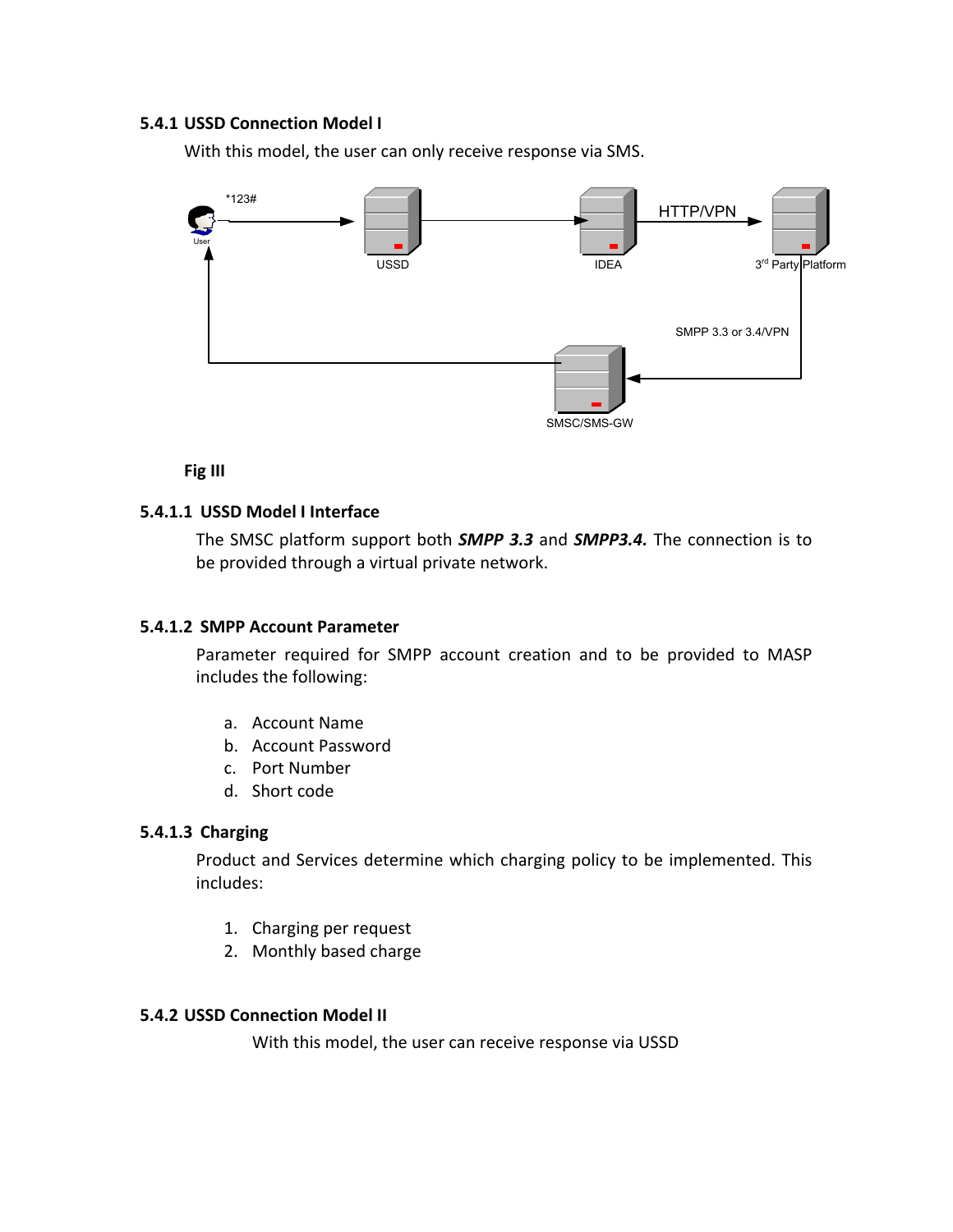#### **5.4.1 USSD Connection Model I**

With this model, the user can only receive response via SMS.



**Fig III**

#### **5.4.1.1 USSD Model I Interface**

The SMSC platform support both **SMPP 3.3** and **SMPP3.4.** The connection is to be provided through a virtual private network.

#### **5.4.1.2 SMPP Account Parameter**

Parameter required for SMPP account creation and to be provided to MASP includes the following:

- a. Account Name
- b. Account Password
- c. Port Number
- d. Short code

#### **5.4.1.3 Charging**

Product and Services determine which charging policy to be implemented. This includes:

- 1. Charging per request
- 2. Monthly based charge

#### **5.4.2 USSD Connection Model II**

With this model, the user can receive response via USSD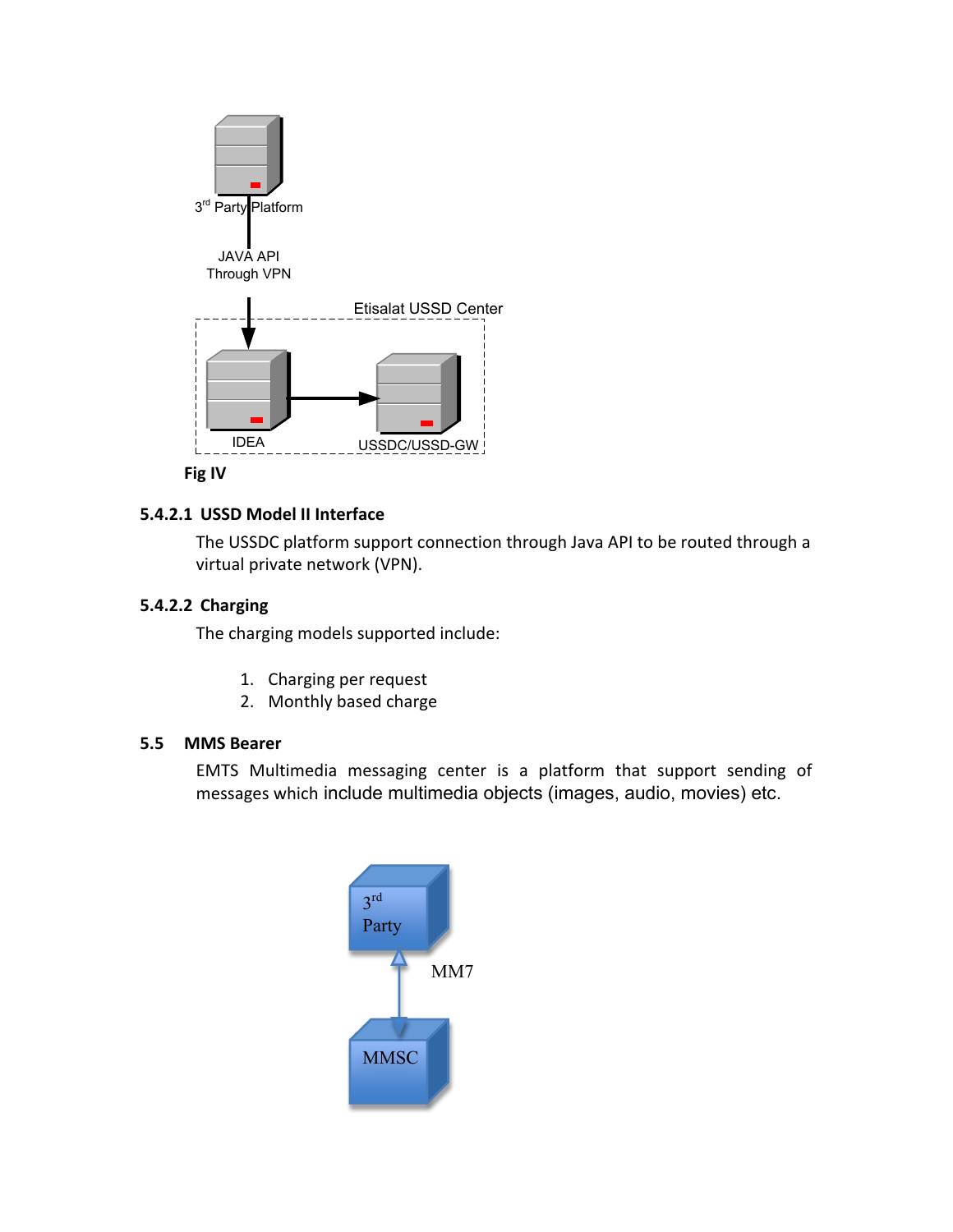

#### **5.4.2.1 USSD Model II Interface**

The USSDC platform support connection through Java API to be routed through a virtual private network (VPN).

#### **5.4.2.2 Charging**

The charging models supported include:

- 1. Charging per request
- 2. Monthly based charge

#### **5.5 MMS Bearer**

EMTS Multimedia messaging center is a platform that support sending of messages which include multimedia objects (images, audio, movies) etc.

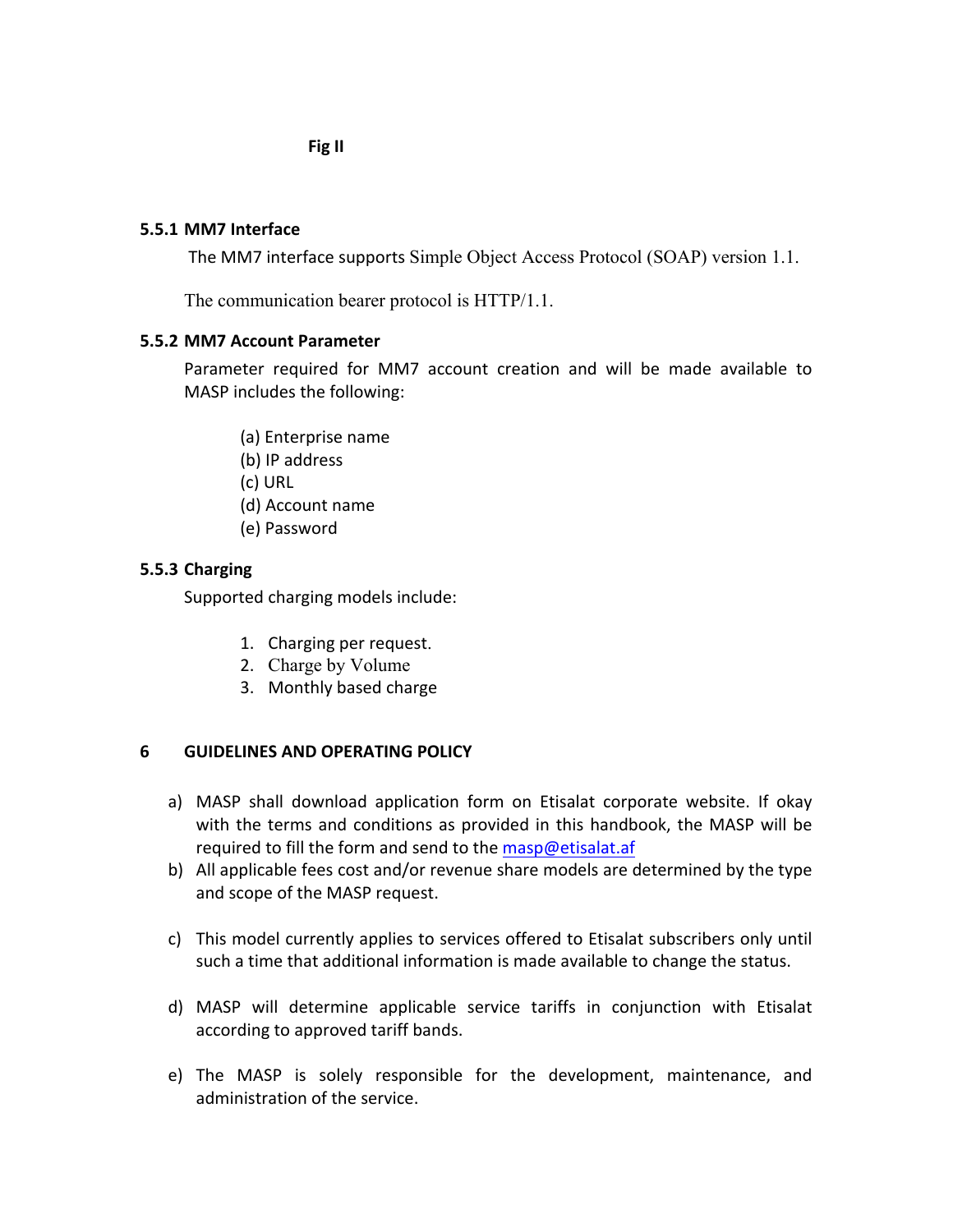**Fig II**

#### **5.5.1 MM7 Interface**

The MM7 interface supports Simple Object Access Protocol (SOAP) version 1.1.

The communication bearer protocol is HTTP/1.1.

#### **5.5.2 MM7 Account Parameter**

Parameter required for MM7 account creation and will be made available to MASP includes the following:

- (a) Enterprise name
- (b) IP address
- (c) URL
- (d) Account name
- (e) Password

#### **5.5.3 Charging**

Supported charging models include:

- 1. Charging per request.
- 2. Charge by Volume
- 3. Monthly based charge

#### **6 GUIDELINES AND OPERATING POLICY**

- a) MASP shall download application form on Etisalat corporate website. If okay with the terms and conditions as provided in this handbook, the MASP will be required to fill the form and send to the masp@etisalat.af
- b) All applicable fees cost and/or revenue share models are determined by the type and scope of the MASP request.
- c) This model currently applies to services offered to Etisalat subscribers only until such a time that additional information is made available to change the status.
- d) MASP will determine applicable service tariffs in conjunction with Etisalat according to approved tariff bands.
- e) The MASP is solely responsible for the development, maintenance, and administration of the service.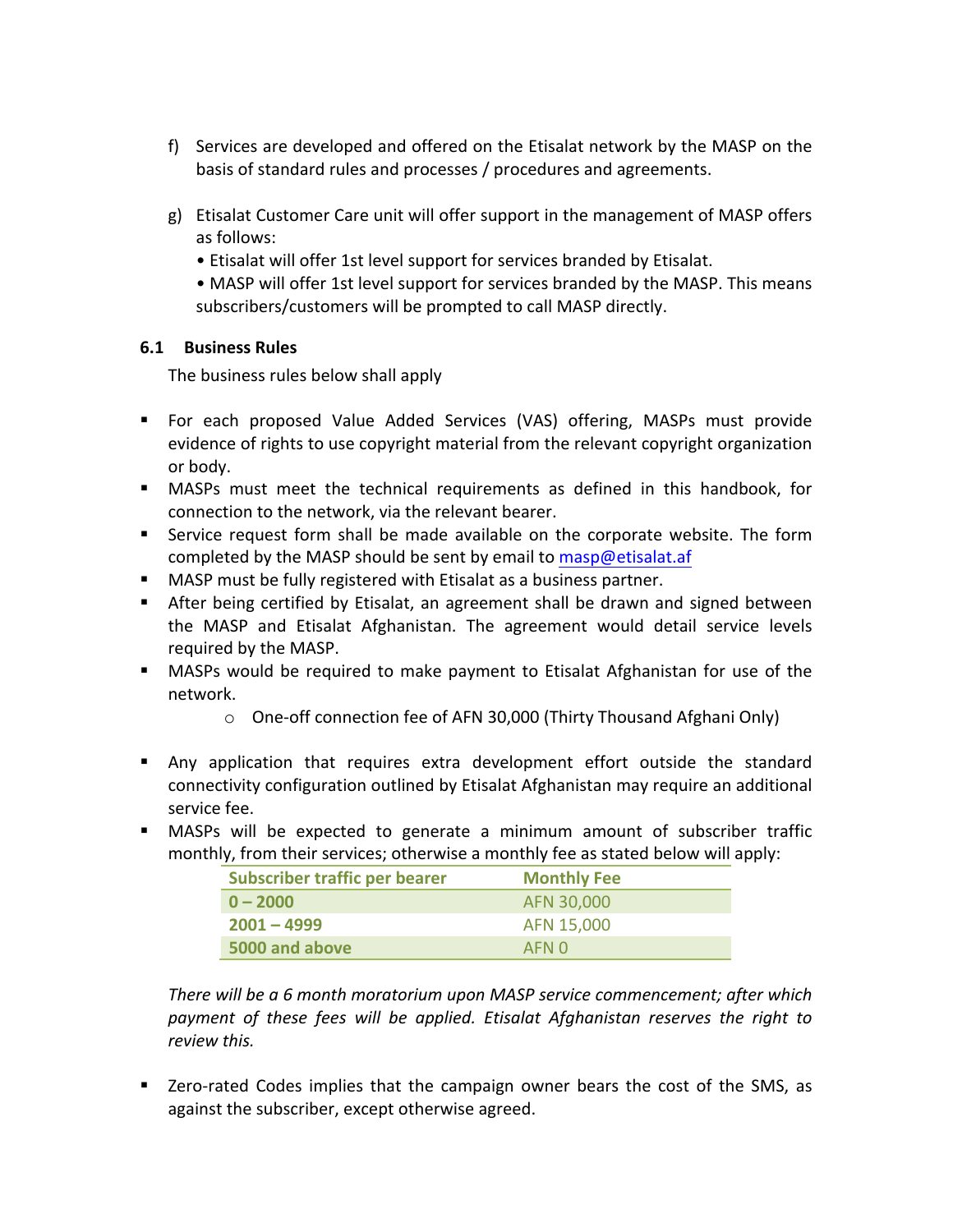- f) Services are developed and offered on the Etisalat network by the MASP on the basis of standard rules and processes / procedures and agreements.
- g) Etisalat Customer Care unit will offer support in the management of MASP offers as follows:
	- Etisalat will offer 1st level support for services branded by Etisalat.
	- MASP will offer 1st level support for services branded by the MASP. This means subscribers/customers will be prompted to call MASP directly.

#### **6.1 Business Rules**

The business rules below shall apply

- **For each proposed Value Added Services (VAS) offering, MASPs must provide** evidence of rights to use copyright material from the relevant copyright organization or body.
- MASPs must meet the technical requirements as defined in this handbook, for connection to the network, via the relevant bearer.
- Service request form shall be made available on the corporate website. The form completed by the MASP should be sent by email to masp@etisalat.af
- MASP must be fully registered with Etisalat as a business partner.
- **F** After being certified by Etisalat, an agreement shall be drawn and signed between the MASP and Etisalat Afghanistan. The agreement would detail service levels required by the MASP.
- MASPs would be required to make payment to Etisalat Afghanistan for use of the network.
	- o One-off connection fee of AFN 30,000 (Thirty Thousand Afghani Only)
- **Any** application that requires extra development effort outside the standard connectivity configuration outlined by Etisalat Afghanistan may require an additional service fee.
- **•** MASPs will be expected to generate a minimum amount of subscriber traffic monthly, from their services; otherwise a monthly fee as stated below will apply:

| Subscriber traffic per bearer | <b>Monthly Fee</b> |
|-------------------------------|--------------------|
| $0 - 2000$                    | AFN 30,000         |
| $2001 - 4999$                 | AFN 15,000         |
| 5000 and above                | AFN 0              |

There will be a 6 month moratorium upon MASP service commencement; after which payment of these fees will be applied. Etisalat Afghanistan reserves the right to *review this.*

■ Zero-rated Codes implies that the campaign owner bears the cost of the SMS, as against the subscriber, except otherwise agreed.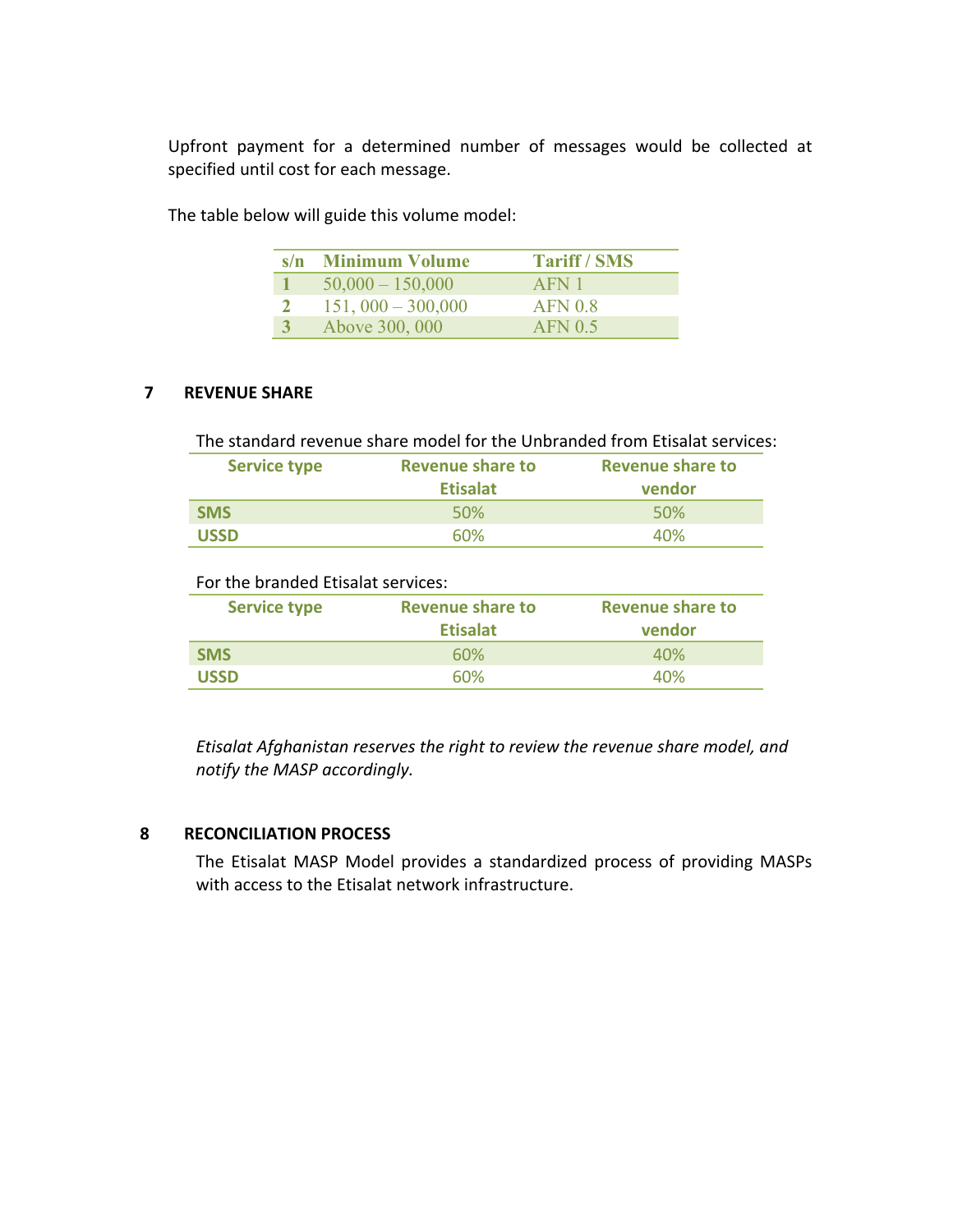Upfront payment for a determined number of messages would be collected at specified until cost for each message.

| s/n Minimum Volume  | <b>Tariff / SMS</b> |
|---------------------|---------------------|
| $50,000 - 150,000$  | AFN 1               |
| $151,000 - 300,000$ | AFN <sub>0.8</sub>  |
| Above 300, 000      | AFN <sub>05</sub>   |

The table below will guide this volume model:

#### **7** REVENUE SHARE

| The standard revenue share model for the Unbranded from Etisalat services: |                         |                         |  |  |  |
|----------------------------------------------------------------------------|-------------------------|-------------------------|--|--|--|
| <b>Service type</b>                                                        | <b>Revenue share to</b> | <b>Revenue share to</b> |  |  |  |
|                                                                            | <b>Etisalat</b>         | vendor                  |  |  |  |
| <b>SMS</b>                                                                 | 50%                     | 50 <sub>%</sub>         |  |  |  |
| <b>USSD</b>                                                                | 60%                     | 40%                     |  |  |  |

| For the branded Etisalat services: |                                            |                                   |  |  |  |
|------------------------------------|--------------------------------------------|-----------------------------------|--|--|--|
| <b>Service type</b>                | <b>Revenue share to</b><br><b>Etisalat</b> | <b>Revenue share to</b><br>vendor |  |  |  |
| <b>SMS</b>                         | 60%                                        | 40%                               |  |  |  |
| <b>USSD</b>                        | 60%                                        | 40%                               |  |  |  |

*Etisalat Afghanistan reserves the right to review the revenue share model, and notify the MASP accordingly.*

#### **8 RECONCILIATION PROCESS**

The Etisalat MASP Model provides a standardized process of providing MASPs with access to the Etisalat network infrastructure.